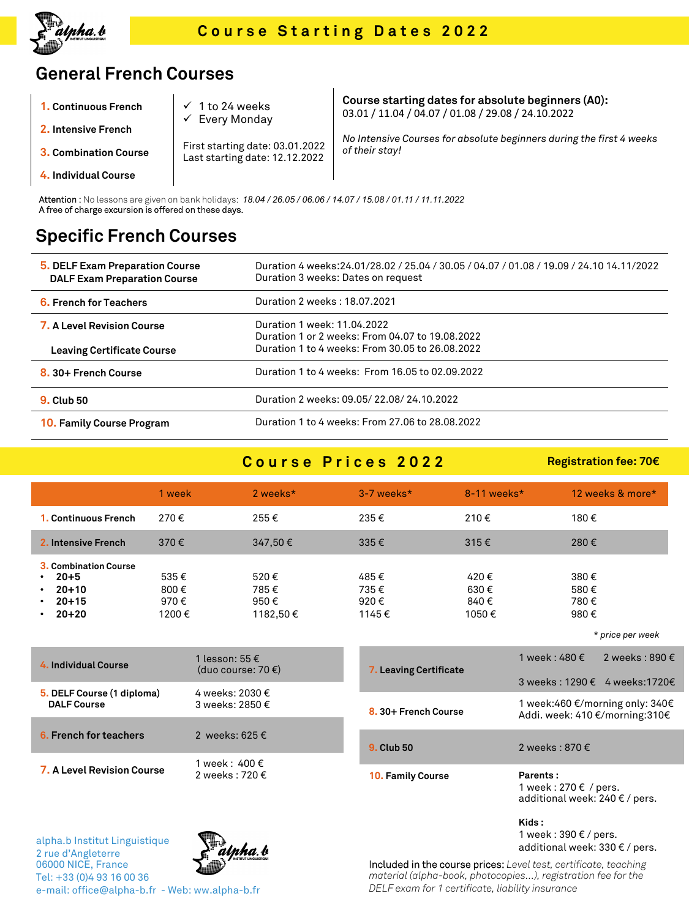

 $\overline{1}$ 

### **General French Courses**

| 1. Continuous French         | 1 to 24 weeks<br>Every Monday                                     | Course starting dates for absolute beginners (A0):<br>03.01 / 11.04 / 04.07 / 01.08 / 29.08 / 24.10.2022 |
|------------------------------|-------------------------------------------------------------------|----------------------------------------------------------------------------------------------------------|
| 2. Intensive French          |                                                                   | No Intensive Courses for absolute beginners during the first 4 weeks                                     |
| <b>3. Combination Course</b> | First starting date: 03.01.2022<br>Last starting date: 12.12.2022 | of their stay!                                                                                           |
| 4. Individual Course         |                                                                   |                                                                                                          |

**Attention :** No lessons are given on bank holidays: *18.04 / 26.05 / 06.06 / 14.07 / 15.08 / 01.11 / 11.11.2022*<br>A free of charge excursion is offered on these days.

### **Specific French Courses**

| 5. DELF Exam Preparation Course<br><b>DALF Exam Preparation Course</b> | Duration 4 weeks: 24.01/28.02 / 25.04 / 30.05 / 04.07 / 01.08 / 19.09 / 24.10 14.11/2022<br>Duration 3 weeks: Dates on request |  |
|------------------------------------------------------------------------|--------------------------------------------------------------------------------------------------------------------------------|--|
| 6. French for Teachers                                                 | Duration 2 weeks: 18.07.2021                                                                                                   |  |
| 7. A Level Revision Course                                             | Duration 1 week: 11.04.2022<br>Duration 1 or 2 weeks: From 04.07 to 19.08.2022                                                 |  |
| <b>Leaving Certificate Course</b>                                      | Duration 1 to 4 weeks: From 30.05 to 26.08.2022                                                                                |  |
| 8. 30+ French Course                                                   | Duration 1 to 4 weeks: From 16.05 to 02.09.2022                                                                                |  |
| <b>9. Club 50</b>                                                      | Duration 2 weeks: 09.05/22.08/24.10.2022                                                                                       |  |
| 10. Family Course Program                                              | Duration 1 to 4 weeks: From 27.06 to 28.08.2022                                                                                |  |

#### **Course Prices 2022**

|                                                                                                               | 1 week                        | 2 weeks*                         | $3-7$ weeks*                  | 8-11 weeks*                   | 12 weeks & more*             |
|---------------------------------------------------------------------------------------------------------------|-------------------------------|----------------------------------|-------------------------------|-------------------------------|------------------------------|
| 1. Continuous French                                                                                          | 270€                          | 255€                             | 235€                          | 210€                          | 180€                         |
| 2. Intensive French                                                                                           | 370€                          | 347,50€                          | 335€                          | 315€                          | 280€                         |
| 3. Combination Course<br>$20 + 5$<br>$\bullet$<br>$20 + 10$<br>$\bullet$<br>$20 + 15$<br>$\bullet$<br>$20+20$ | 535€<br>800€<br>970€<br>1200€ | 520€<br>785€<br>950€<br>1182,50€ | 485€<br>735€<br>920€<br>1145€ | 420€<br>630€<br>840€<br>1050€ | 380€<br>580€<br>780€<br>980€ |

| 4. Individual Course                             | 1 lesson: $55 \in$<br>(duo course: $70 \text{ } \infty$ ) |
|--------------------------------------------------|-----------------------------------------------------------|
| 5. DELF Course (1 diploma)<br><b>DALF Course</b> | 4 weeks: 2030 €<br>3 weeks: $2850 \in$                    |
| 6. French for teachers                           | 2 weeks: $625 \in$                                        |
| 7. A Level Revision Course                       | 1 week: $400 \in$<br>2 weeks: $720 \text{ } \epsilon$     |

| 7. Leaving Certificate | 1 week: $480 \in$<br>2 weeks: 890 $\epsilon$                         |  |  |
|------------------------|----------------------------------------------------------------------|--|--|
|                        | 3 weeks: 1290 € 4 weeks: 1720€                                       |  |  |
| 8.30+ French Course    | 1 week:460 €/morning only: 340€<br>Addi. week: 410 €/morning:310€    |  |  |
| <b>9. Club 50</b>      | 2 weeks: $870 \in$                                                   |  |  |
| 10. Family Course      | Parents:<br>1 week : 270 € / pers.<br>additional week: 240 € / pers. |  |  |
|                        | Kids :                                                               |  |  |

1 week : 390 € / pers. additional week: 330 € / pers.

\* *price per week*

**Registration fee: 70€**

alpha.b Institut Linguistique alpha.b 2 rue d'Angleterre 06000 NICE, France Tel: +33 (0)4 93 16 00 36 e-mail: office@alpha-b.fr - Web: ww.alpha-b.fr

Included in the course prices: *Level test, certificate, teaching material (alpha-book, photocopies…), registration fee for the DELF exam for 1 certificate, liability insurance*